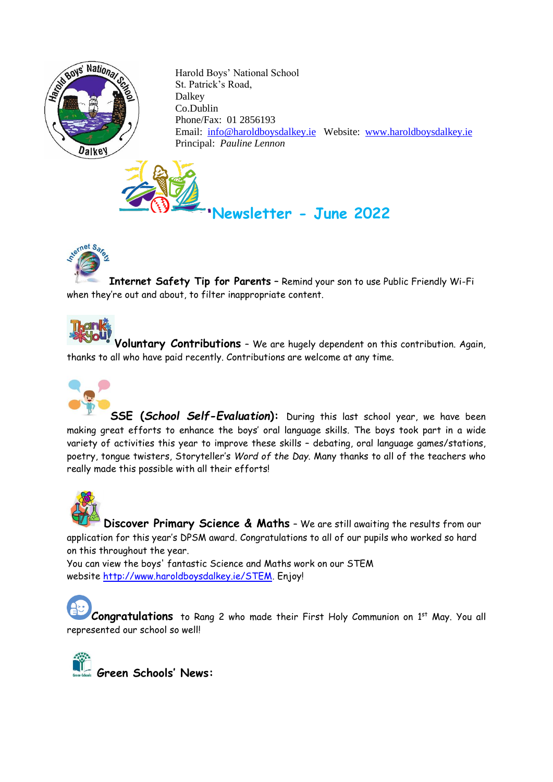

 Harold Boys' National School St. Patrick's Road, Dalkey Co.Dublin Phone/Fax: 01 2856193 Email: [info@haroldboysdalkey.ie](mailto:info@haroldboysdalkey.ie) Website: [www.haroldboysdalkey.ie](http://www.haroldboysdalkey.ie/) Principal: *Pauline Lennon*

 **Newsletter - June 2022**



## sternet Sare

**Internet Safety Tip for Parents** – Remind your son to use Public Friendly Wi-Fi when they're out and about, to filter inappropriate content.



**Voluntary Contributions** – We are hugely dependent on this contribution. Again, t[hanks to](http://mommyrackell.com/2014/01/happy-29th.html) all who have paid recently. Contributions are welcome at any time.



**SSE (***School Self-Evaluation***):** During this last school year, we have been [making gr](https://creativecommons.org/licenses/by-nc-nd/3.0/)eat efforts to enhance the boys' oral language skills. The boys took part in a wide variety of activities this year to improve these skills – debating, oral language games/stations, poetry, tongue twisters, Storyteller's *Word of the Day*. Many thanks to all of the teachers who really made this possible with all their efforts!



**Discover Primary Science & Maths** – We are still awaiting the results from our application for this year's DPSM award. Congratulations to all of our pupils who worked so hard on this throughout the year.

You can view the boys' fantastic Science and Maths work on our STEM website [http://www.haroldboysdalkey.ie/STEM.](http://www.haroldboysdalkey.ie/STEM) Enjoy!

Congratulations to Rang 2 who made their First Holy Communion on 1<sup>st</sup> May. You all represented our school so well!

**Green Schools' News:**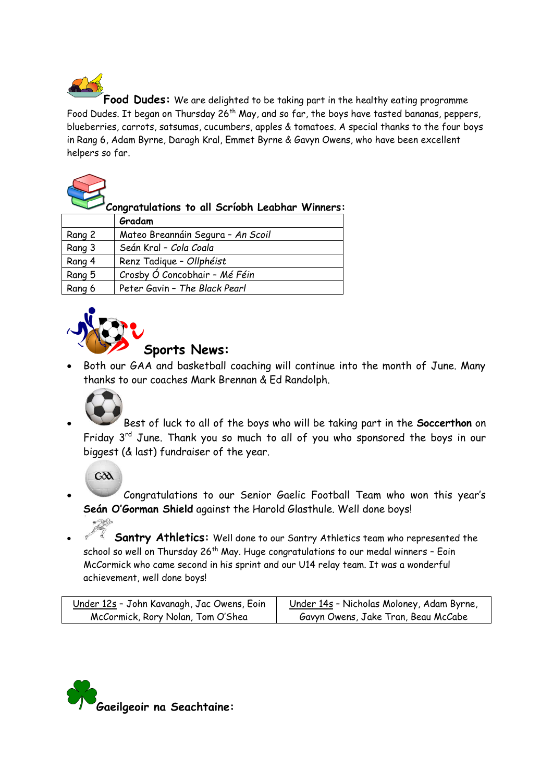**Food Dudes:** We are delighted to be taking part in the healthy eating programme Food Dudes. It began on Thursday 26<sup>th</sup> May, and so far, the boys have tasted bananas, peppers, blueberries, carrots, satsumas, cucumbers, apples & tomatoes. A special thanks to the four boys in Rang 6, Adam Byrne, Daragh Kral, Emmet Byrne & Gavyn Owens, who have been excellent helpers so far.



**Congratulations to all Scríobh Leabhar Winners:**

|        | Gradam                            |
|--------|-----------------------------------|
| Rang 2 | Mateo Breannáin Segura - An Scoil |
| Rang 3 | Seán Kral - Cola Coala            |
| Rang 4 | Renz Tadique - Ollphéist          |
| Rang 5 | Crosby Ó Concobhair - Mé Féin     |
| Rang 6 | Peter Gavin - The Black Pearl     |



## **Sports News:**

Both our GAA and basketball coaching will continue into the month of June. Many thanks to our coaches Mark Brennan & Ed Randolph.



• Best of luck to all of the boys who will be taking part in the **Soccerthon** on Friday 3<sup>rd</sup> June. Thank you so much to all of you who sponsored the boys in our biggest (& last) fundraiser of the year.

 $G\delta A$ 

• Congratulations to our Senior Gaelic Football Team who won this year's **Seán O'Gorman Shield** against the Harold Glasthule. Well done boys!

• **Santry Athletics:** Well done to our Santry Athletics team who represented the school so well on Thursday 26<sup>th</sup> May. Huge congratulations to our medal winners - Eoin McCormick who came second in his sprint and our U14 relay team. It was a wonderful achievement, well done boys!

| <u> Under 12s</u> - John Kavanagh, Jac Owens, Eoin | Under 14s - Nicholas Moloney, Adam Byrne, |
|----------------------------------------------------|-------------------------------------------|
| McCormick, Rory Nolan, Tom O'Shea                  | Gavyn Owens, Jake Tran, Beau McCabe       |